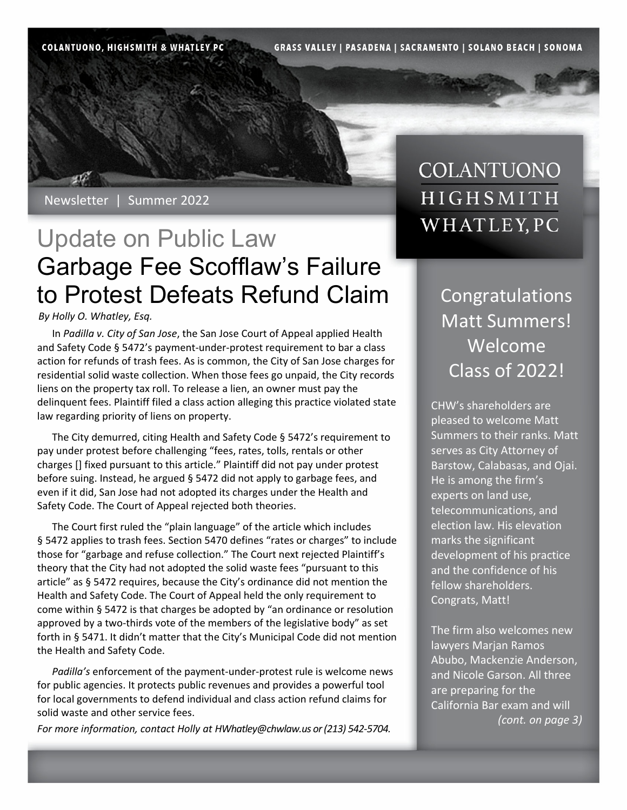**COLANTUONO, HIGHSMITH & WHATLEY PC** 

**GRASS VALLEY | PASADENA | SACRAMENTO | SOLANO BEACH | SONOMA** 

Newsletter | Summer 2022

# Update on Public Law Garbage Fee Scofflaw's Failure to Protest Defeats Refund Claim | Congratulations

#### *By Holly O. Whatley, Esq.*

In *Padilla v. City of San Jose*, the San Jose Court of Appeal applied Health and Safety Code § 5472's payment-under-protest requirement to bar a class action for refunds of trash fees. As is common, the City of San Jose charges for residential solid waste collection. When those fees go unpaid, the City records liens on the property tax roll. To release a lien, an owner must pay the delinquent fees. Plaintiff filed a class action alleging this practice violated state law regarding priority of liens on property.

The City demurred, citing Health and Safety Code § 5472's requirement to pay under protest before challenging "fees, rates, tolls, rentals or other charges [] fixed pursuant to this article." Plaintiff did not pay under protest before suing. Instead, he argued § 5472 did not apply to garbage fees, and even if it did, San Jose had not adopted its charges under the Health and Safety Code. The Court of Appeal rejected both theories.

The Court first ruled the "plain language" of the article which includes § 5472 applies to trash fees. Section 5470 defines "rates or charges" to include those for "garbage and refuse collection." The Court next rejected Plaintiff's theory that the City had not adopted the solid waste fees "pursuant to this article" as § 5472 requires, because the City's ordinance did not mention the Health and Safety Code. The Court of Appeal held the only requirement to come within § 5472 is that charges be adopted by "an ordinance or resolution approved by a two-thirds vote of the members of the legislative body" as set forth in § 5471. It didn't matter that the City's Municipal Code did not mention the Health and Safety Code.

*Padilla's* enforcement of the payment-under-protest rule is welcome news for public agencies. It protects public revenues and provides a powerful tool for local governments to defend individual and class action refund claims for solid waste and other service fees.

*For more information, contact Holly at HWhatley@chwlaw.us or (213) 542-5704.* 

### COLANTUONO HIGHSMITH WHATLEY, PC

Matt Summers! Welcome Class of 2022!

CHW's shareholders are pleased to welcome Matt Summers to their ranks. Matt serves as City Attorney of Barstow, Calabasas, and Ojai. He is among the firm's experts on land use, telecommunications, and election law. His elevation marks the significant development of his practice and the confidence of his fellow shareholders. Congrats, Matt!

The firm also welcomes new lawyers Marjan Ramos Abubo, Mackenzie Anderson, and Nicole Garson. All three are preparing for the California Bar exam and will *(cont. on page 3)*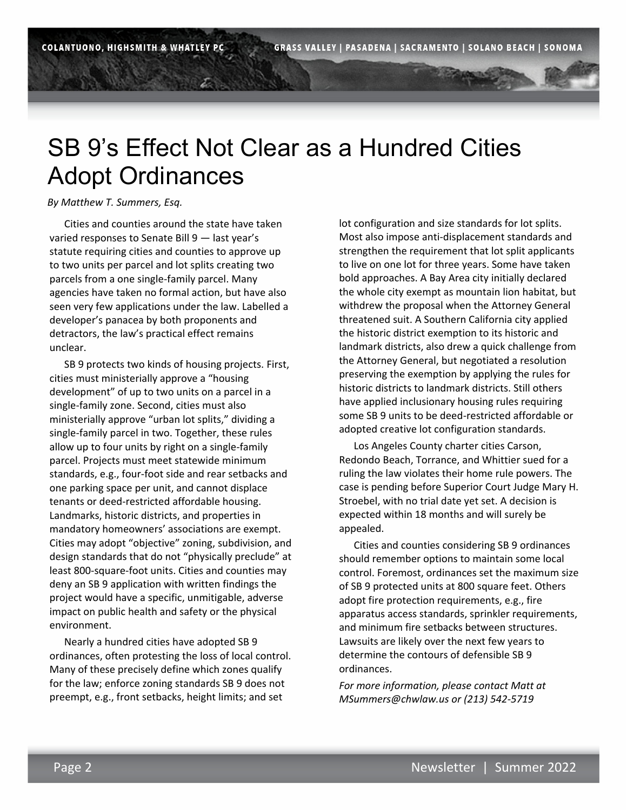## SB 9's Effect Not Clear as a Hundred Cities Adopt Ordinances

#### *By Matthew T. Summers, Esq.*

Cities and counties around the state have taken varied responses to Senate Bill 9 — last year's statute requiring cities and counties to approve up to two units per parcel and lot splits creating two parcels from a one single-family parcel. Many agencies have taken no formal action, but have also seen very few applications under the law. Labelled a developer's panacea by both proponents and detractors, the law's practical effect remains unclear.

SB 9 protects two kinds of housing projects. First, cities must ministerially approve a "housing development" of up to two units on a parcel in a single-family zone. Second, cities must also ministerially approve "urban lot splits," dividing a single-family parcel in two. Together, these rules allow up to four units by right on a single-family parcel. Projects must meet statewide minimum standards, e.g., four-foot side and rear setbacks and one parking space per unit, and cannot displace tenants or deed-restricted affordable housing. Landmarks, historic districts, and properties in mandatory homeowners' associations are exempt. Cities may adopt "objective" zoning, subdivision, and design standards that do not "physically preclude" at least 800-square-foot units. Cities and counties may deny an SB 9 application with written findings the project would have a specific, unmitigable, adverse impact on public health and safety or the physical environment.

Nearly a hundred cities have adopted SB 9 ordinances, often protesting the loss of local control. Many of these precisely define which zones qualify for the law; enforce zoning standards SB 9 does not preempt, e.g., front setbacks, height limits; and set

lot configuration and size standards for lot splits. Most also impose anti-displacement standards and strengthen the requirement that lot split applicants to live on one lot for three years. Some have taken bold approaches. A Bay Area city initially declared the whole city exempt as mountain lion habitat, but withdrew the proposal when the Attorney General threatened suit. A Southern California city applied the historic district exemption to its historic and landmark districts, also drew a quick challenge from the Attorney General, but negotiated a resolution preserving the exemption by applying the rules for historic districts to landmark districts. Still others have applied inclusionary housing rules requiring some SB 9 units to be deed-restricted affordable or adopted creative lot configuration standards.

Los Angeles County charter cities Carson, Redondo Beach, Torrance, and Whittier sued for a ruling the law violates their home rule powers. The case is pending before Superior Court Judge Mary H. Stroebel, with no trial date yet set. A decision is expected within 18 months and will surely be appealed.

Cities and counties considering SB 9 ordinances should remember options to maintain some local control. Foremost, ordinances set the maximum size of SB 9 protected units at 800 square feet. Others adopt fire protection requirements, e.g., fire apparatus access standards, sprinkler requirements, and minimum fire setbacks between structures. Lawsuits are likely over the next few years to determine the contours of defensible SB 9 ordinances.

*For more information, please contact Matt at MSummers@chwlaw.us or (213) 542-5719*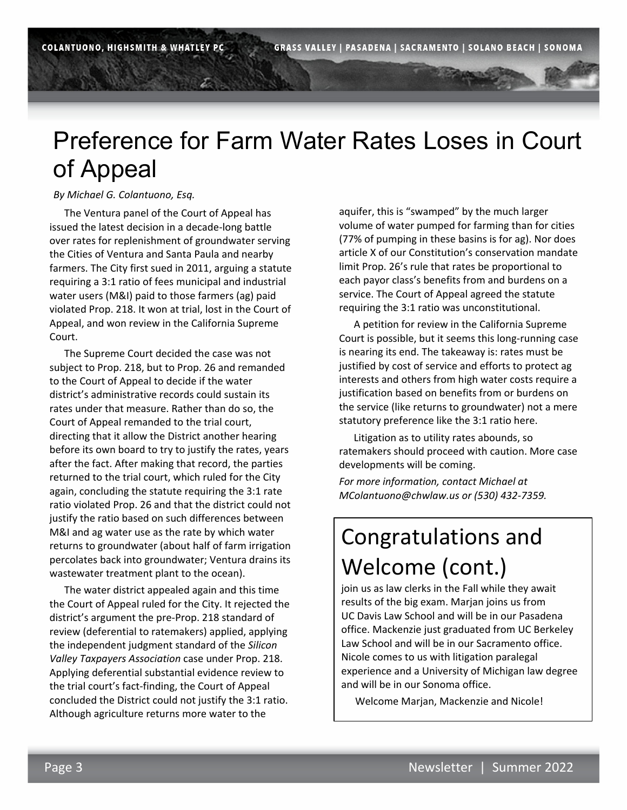## Preference for Farm Water Rates Loses in Court of Appeal

*By Michael G. Colantuono, Esq.* 

The Ventura panel of the Court of Appeal has issued the latest decision in a decade-long battle over rates for replenishment of groundwater serving the Cities of Ventura and Santa Paula and nearby farmers. The City first sued in 2011, arguing a statute requiring a 3:1 ratio of fees municipal and industrial water users (M&I) paid to those farmers (ag) paid violated Prop. 218. It won at trial, lost in the Court of Appeal, and won review in the California Supreme Court.

The Supreme Court decided the case was not subject to Prop. 218, but to Prop. 26 and remanded to the Court of Appeal to decide if the water district's administrative records could sustain its rates under that measure. Rather than do so, the Court of Appeal remanded to the trial court, directing that it allow the District another hearing before its own board to try to justify the rates, years after the fact. After making that record, the parties returned to the trial court, which ruled for the City again, concluding the statute requiring the 3:1 rate ratio violated Prop. 26 and that the district could not justify the ratio based on such differences between M&I and ag water use as the rate by which water returns to groundwater (about half of farm irrigation percolates back into groundwater; Ventura drains its wastewater treatment plant to the ocean).

The water district appealed again and this time the Court of Appeal ruled for the City. It rejected the district's argument the pre-Prop. 218 standard of review (deferential to ratemakers) applied, applying the independent judgment standard of the *Silicon Valley Taxpayers Association* case under Prop. 218. Applying deferential substantial evidence review to the trial court's fact-finding, the Court of Appeal concluded the District could not justify the 3:1 ratio. Although agriculture returns more water to the

aquifer, this is "swamped" by the much larger volume of water pumped for farming than for cities (77% of pumping in these basins is for ag). Nor does article X of our Constitution's conservation mandate limit Prop. 26's rule that rates be proportional to each payor class's benefits from and burdens on a service. The Court of Appeal agreed the statute requiring the 3:1 ratio was unconstitutional.

A petition for review in the California Supreme Court is possible, but it seems this long-running case is nearing its end. The takeaway is: rates must be justified by cost of service and efforts to protect ag interests and others from high water costs require a justification based on benefits from or burdens on the service (like returns to groundwater) not a mere statutory preference like the 3:1 ratio here.

Litigation as to utility rates abounds, so ratemakers should proceed with caution. More case developments will be coming.

*For more information, contact Michael at MColantuono@chwlaw.us or (530) 432-7359.* 

# Congratulations and Welcome (cont.)

join us as law clerks in the Fall while they await results of the big exam. Marjan joins us from UC Davis Law School and will be in our Pasadena office. Mackenzie just graduated from UC Berkeley Law School and will be in our Sacramento office. Nicole comes to us with litigation paralegal experience and a University of Michigan law degree and will be in our Sonoma office.

Welcome Marjan, Mackenzie and Nicole!